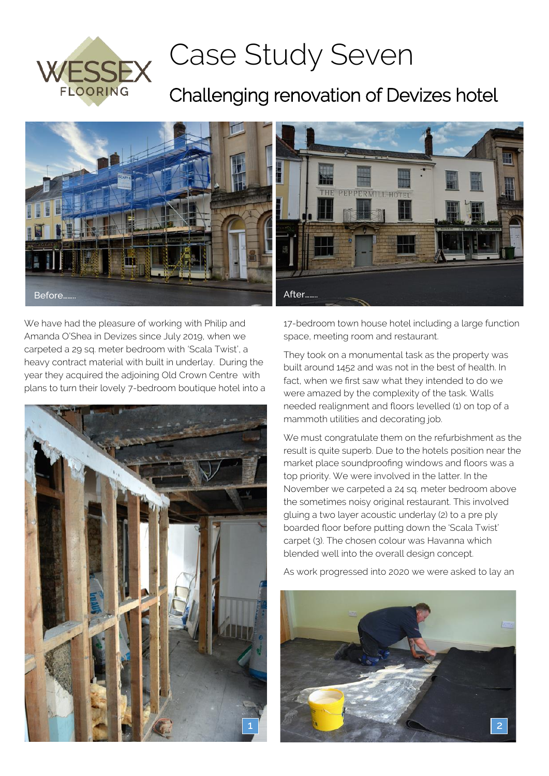

## Case Study Seven

## Challenging renovation of Devizes hotel



We have had the pleasure of working with Philip and Amanda O'Shea in Devizes since July 2019, when we carpeted a 29 sq. meter bedroom with 'Scala Twist', a heavy contract material with built in underlay. During the year they acquired the adjoining Old Crown Centre with plans to turn their lovely 7-bedroom boutique hotel into a



17-bedroom town house hotel including a large function space, meeting room and restaurant.

They took on a monumental task as the property was built around 1452 and was not in the best of health. In fact, when we first saw what they intended to do we were amazed by the complexity of the task. Walls needed realignment and floors levelled (1) on top of a mammoth utilities and decorating job.

We must congratulate them on the refurbishment as the result is quite superb. Due to the hotels position near the market place soundproofing windows and floors was a top priority. We were involved in the latter. In the November we carpeted a 24 sq. meter bedroom above the sometimes noisy original restaurant. This involved gluing a two layer acoustic underlay (2) to a pre ply boarded floor before putting down the 'Scala Twist' carpet (3). The chosen colour was Havanna which blended well into the overall design concept.

As work progressed into 2020 we were asked to lay an